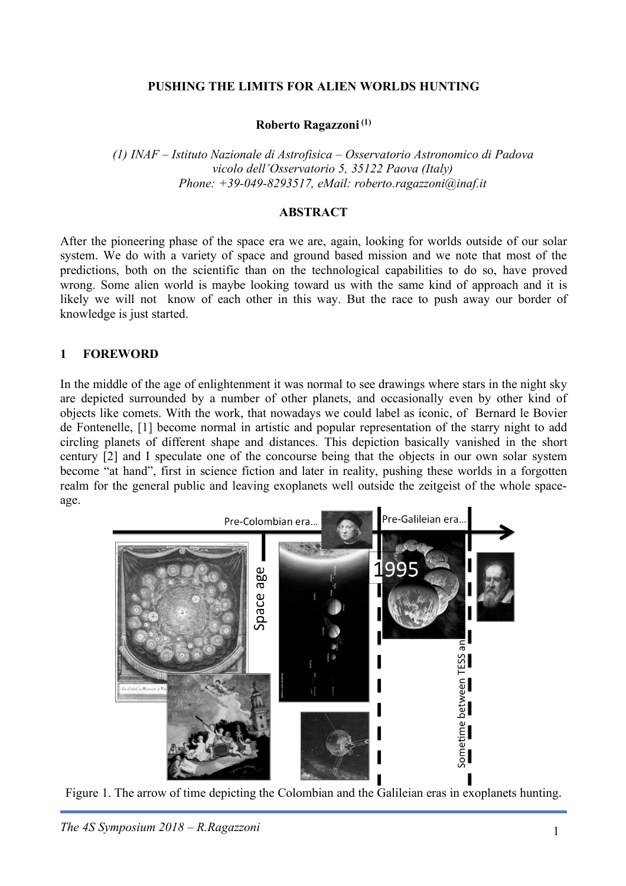### **PUSHING THE LIMITS FOR ALIEN WORLDS HUNTING**

#### **Roberto Ragazzoni (1)**

*(1) INAF – Istituto Nazionale di Astrofisica – Osservatorio Astronomico di Padova vicolo dell'Osservatorio 5, 35122 Paova (Italy) Phone: +39-049-8293517, eMail: roberto.ragazzoni@inaf.it*

#### **ABSTRACT**

After the pioneering phase of the space era we are, again, looking for worlds outside of our solar system. We do with a variety of space and ground based mission and we note that most of the predictions, both on the scientific than on the technological capabilities to do so, have proved wrong. Some alien world is maybe looking toward us with the same kind of approach and it is likely we will not know of each other in this way. But the race to push away our border of knowledge is just started.

#### **1 FOREWORD**

In the middle of the age of enlightenment it was normal to see drawings where stars in the night sky are depicted surrounded by a number of other planets, and occasionally even by other kind of objects like comets. With the work, that nowadays we could label as iconic, of Bernard le Bovier de Fontenelle, [1] become normal in artistic and popular representation of the starry night to add circling planets of different shape and distances. This depiction basically vanished in the short century [2] and I speculate one of the concourse being that the objects in our own solar system become "at hand", first in science fiction and later in reality, pushing these worlds in a forgotten realm for the general public and leaving exoplanets well outside the zeitgeist of the whole spaceage.



Figure 1. The arrow of time depicting the Colombian and the Galileian eras in exoplanets hunting.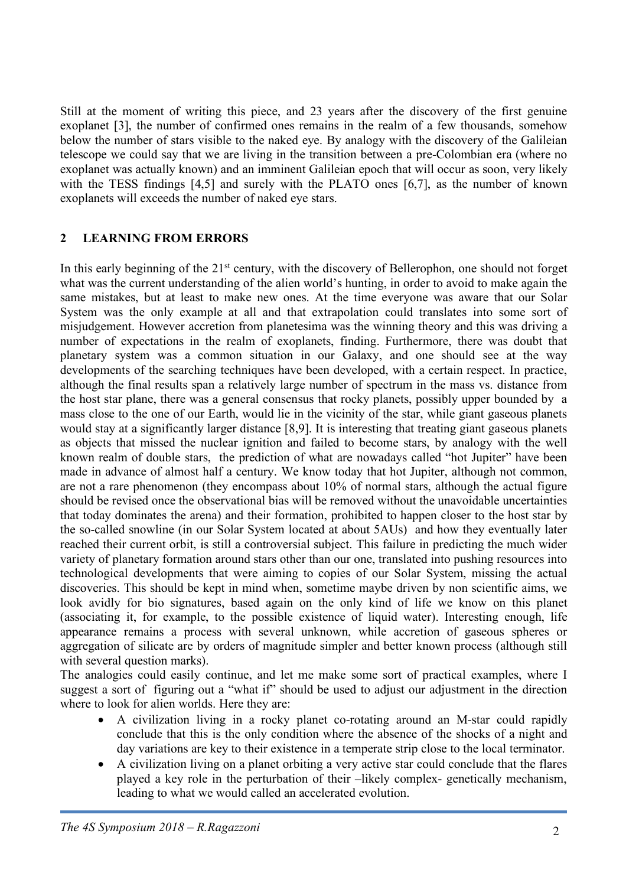Still at the moment of writing this piece, and 23 years after the discovery of the first genuine exoplanet [3], the number of confirmed ones remains in the realm of a few thousands, somehow below the number of stars visible to the naked eye. By analogy with the discovery of the Galileian telescope we could say that we are living in the transition between a pre-Colombian era (where no exoplanet was actually known) and an imminent Galileian epoch that will occur as soon, very likely with the TESS findings [4,5] and surely with the PLATO ones [6,7], as the number of known exoplanets will exceeds the number of naked eye stars.

# **2 LEARNING FROM ERRORS**

In this early beginning of the 21<sup>st</sup> century, with the discovery of Bellerophon, one should not forget what was the current understanding of the alien world's hunting, in order to avoid to make again the same mistakes, but at least to make new ones. At the time everyone was aware that our Solar System was the only example at all and that extrapolation could translates into some sort of misjudgement. However accretion from planetesima was the winning theory and this was driving a number of expectations in the realm of exoplanets, finding. Furthermore, there was doubt that planetary system was a common situation in our Galaxy, and one should see at the way developments of the searching techniques have been developed, with a certain respect. In practice, although the final results span a relatively large number of spectrum in the mass vs. distance from the host star plane, there was a general consensus that rocky planets, possibly upper bounded by a mass close to the one of our Earth, would lie in the vicinity of the star, while giant gaseous planets would stay at a significantly larger distance [8,9]. It is interesting that treating giant gaseous planets as objects that missed the nuclear ignition and failed to become stars, by analogy with the well known realm of double stars, the prediction of what are nowadays called "hot Jupiter" have been made in advance of almost half a century. We know today that hot Jupiter, although not common, are not a rare phenomenon (they encompass about 10% of normal stars, although the actual figure should be revised once the observational bias will be removed without the unavoidable uncertainties that today dominates the arena) and their formation, prohibited to happen closer to the host star by the so-called snowline (in our Solar System located at about 5AUs) and how they eventually later reached their current orbit, is still a controversial subject. This failure in predicting the much wider variety of planetary formation around stars other than our one, translated into pushing resources into technological developments that were aiming to copies of our Solar System, missing the actual discoveries. This should be kept in mind when, sometime maybe driven by non scientific aims, we look avidly for bio signatures, based again on the only kind of life we know on this planet (associating it, for example, to the possible existence of liquid water). Interesting enough, life appearance remains a process with several unknown, while accretion of gaseous spheres or aggregation of silicate are by orders of magnitude simpler and better known process (although still with several question marks).

The analogies could easily continue, and let me make some sort of practical examples, where I suggest a sort of figuring out a "what if" should be used to adjust our adjustment in the direction where to look for alien worlds. Here they are:

- A civilization living in a rocky planet co-rotating around an M-star could rapidly conclude that this is the only condition where the absence of the shocks of a night and day variations are key to their existence in a temperate strip close to the local terminator.
- A civilization living on a planet orbiting a very active star could conclude that the flares played a key role in the perturbation of their –likely complex- genetically mechanism, leading to what we would called an accelerated evolution.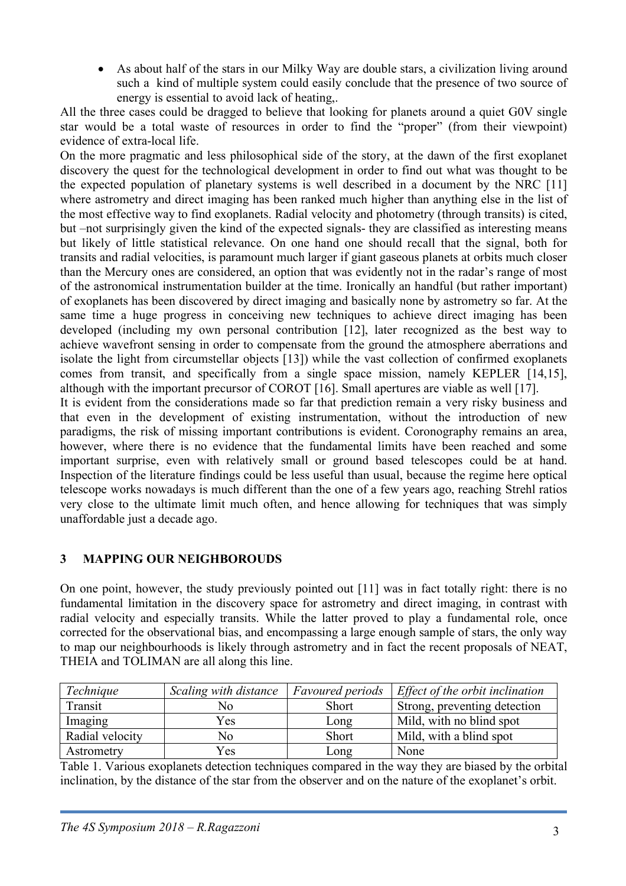• As about half of the stars in our Milky Way are double stars, a civilization living around such a kind of multiple system could easily conclude that the presence of two source of energy is essential to avoid lack of heating,.

All the three cases could be dragged to believe that looking for planets around a quiet G0V single star would be a total waste of resources in order to find the "proper" (from their viewpoint) evidence of extra-local life.

On the more pragmatic and less philosophical side of the story, at the dawn of the first exoplanet discovery the quest for the technological development in order to find out what was thought to be the expected population of planetary systems is well described in a document by the NRC [11] where astrometry and direct imaging has been ranked much higher than anything else in the list of the most effective way to find exoplanets. Radial velocity and photometry (through transits) is cited, but –not surprisingly given the kind of the expected signals- they are classified as interesting means but likely of little statistical relevance. On one hand one should recall that the signal, both for transits and radial velocities, is paramount much larger if giant gaseous planets at orbits much closer than the Mercury ones are considered, an option that was evidently not in the radar's range of most of the astronomical instrumentation builder at the time. Ironically an handful (but rather important) of exoplanets has been discovered by direct imaging and basically none by astrometry so far. At the same time a huge progress in conceiving new techniques to achieve direct imaging has been developed (including my own personal contribution [12], later recognized as the best way to achieve wavefront sensing in order to compensate from the ground the atmosphere aberrations and isolate the light from circumstellar objects [13]) while the vast collection of confirmed exoplanets comes from transit, and specifically from a single space mission, namely KEPLER [14,15], although with the important precursor of COROT [16]. Small apertures are viable as well [17]. It is evident from the considerations made so far that prediction remain a very risky business and that even in the development of existing instrumentation, without the introduction of new

paradigms, the risk of missing important contributions is evident. Coronography remains an area, however, where there is no evidence that the fundamental limits have been reached and some important surprise, even with relatively small or ground based telescopes could be at hand. Inspection of the literature findings could be less useful than usual, because the regime here optical telescope works nowadays is much different than the one of a few years ago, reaching Strehl ratios very close to the ultimate limit much often, and hence allowing for techniques that was simply unaffordable just a decade ago.

# **3 MAPPING OUR NEIGHBOROUDS**

On one point, however, the study previously pointed out [11] was in fact totally right: there is no fundamental limitation in the discovery space for astrometry and direct imaging, in contrast with radial velocity and especially transits. While the latter proved to play a fundamental role, once corrected for the observational bias, and encompassing a large enough sample of stars, the only way to map our neighbourhoods is likely through astrometry and in fact the recent proposals of NEAT, THEIA and TOLIMAN are all along this line.

| Technique       | Scaling with distance | <i>Favoured periods</i> | Effect of the orbit inclination |
|-----------------|-----------------------|-------------------------|---------------------------------|
| Transit         | No                    | <b>Short</b>            | Strong, preventing detection    |
| Imaging         | Yes                   | Long                    | Mild, with no blind spot        |
| Radial velocity | No                    | Short                   | Mild, with a blind spot         |
| Astrometry      | Yes                   | Long                    | None                            |

Table 1. Various exoplanets detection techniques compared in the way they are biased by the orbital inclination, by the distance of the star from the observer and on the nature of the exoplanet's orbit.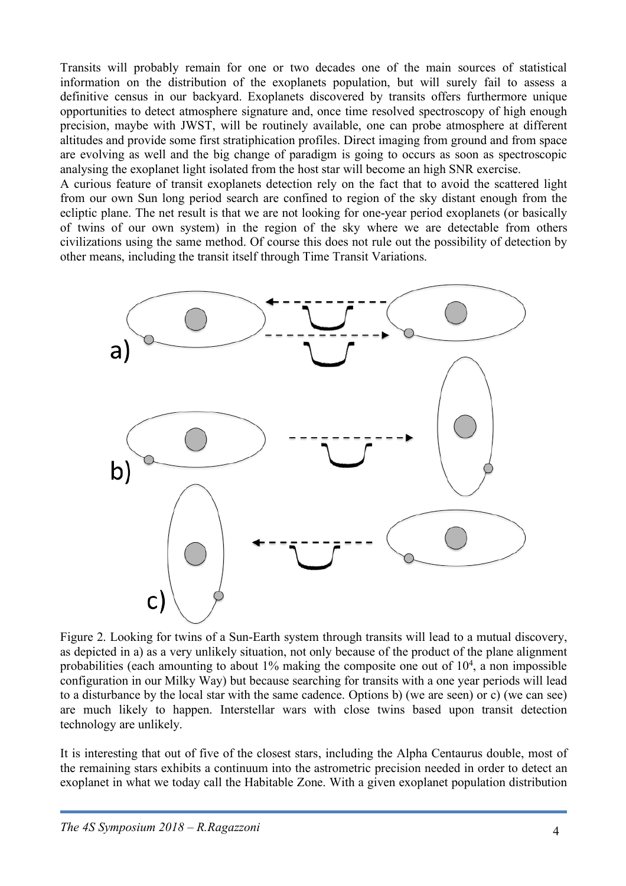Transits will probably remain for one or two decades one of the main sources of statistical information on the distribution of the exoplanets population, but will surely fail to assess a definitive census in our backyard. Exoplanets discovered by transits offers furthermore unique opportunities to detect atmosphere signature and, once time resolved spectroscopy of high enough precision, maybe with JWST, will be routinely available, one can probe atmosphere at different altitudes and provide some first stratiphication profiles. Direct imaging from ground and from space are evolving as well and the big change of paradigm is going to occurs as soon as spectroscopic analysing the exoplanet light isolated from the host star will become an high SNR exercise.

A curious feature of transit exoplanets detection rely on the fact that to avoid the scattered light from our own Sun long period search are confined to region of the sky distant enough from the ecliptic plane. The net result is that we are not looking for one-year period exoplanets (or basically of twins of our own system) in the region of the sky where we are detectable from others civilizations using the same method. Of course this does not rule out the possibility of detection by other means, including the transit itself through Time Transit Variations.



Figure 2. Looking for twins of a Sun-Earth system through transits will lead to a mutual discovery, as depicted in a) as a very unlikely situation, not only because of the product of the plane alignment probabilities (each amounting to about  $1\%$  making the composite one out of  $10<sup>4</sup>$ , a non impossible configuration in our Milky Way) but because searching for transits with a one year periods will lead to a disturbance by the local star with the same cadence. Options b) (we are seen) or c) (we can see) are much likely to happen. Interstellar wars with close twins based upon transit detection technology are unlikely.

It is interesting that out of five of the closest stars, including the Alpha Centaurus double, most of the remaining stars exhibits a continuum into the astrometric precision needed in order to detect an exoplanet in what we today call the Habitable Zone. With a given exoplanet population distribution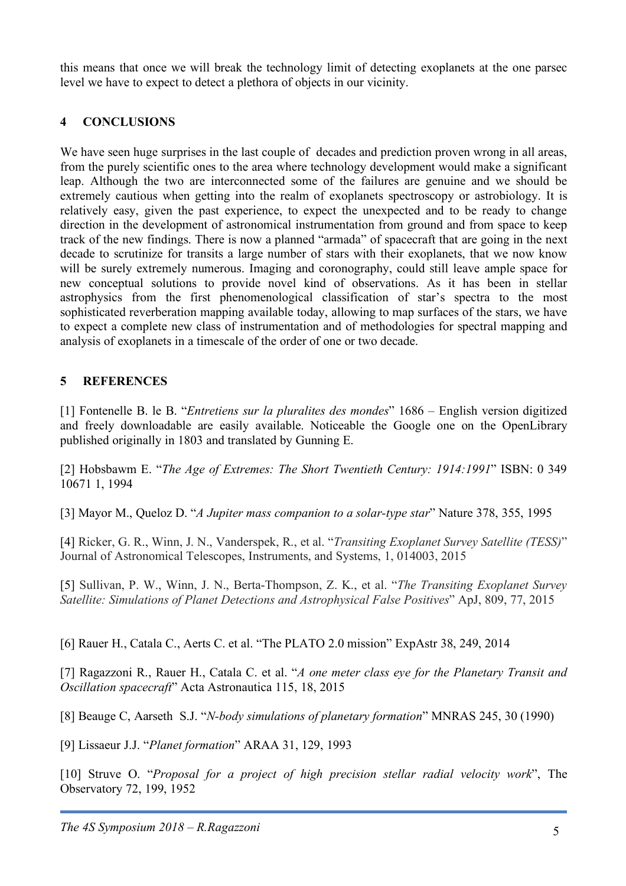this means that once we will break the technology limit of detecting exoplanets at the one parsec level we have to expect to detect a plethora of objects in our vicinity.

### **4 CONCLUSIONS**

We have seen huge surprises in the last couple of decades and prediction proven wrong in all areas, from the purely scientific ones to the area where technology development would make a significant leap. Although the two are interconnected some of the failures are genuine and we should be extremely cautious when getting into the realm of exoplanets spectroscopy or astrobiology. It is relatively easy, given the past experience, to expect the unexpected and to be ready to change direction in the development of astronomical instrumentation from ground and from space to keep track of the new findings. There is now a planned "armada" of spacecraft that are going in the next decade to scrutinize for transits a large number of stars with their exoplanets, that we now know will be surely extremely numerous. Imaging and coronography, could still leave ample space for new conceptual solutions to provide novel kind of observations. As it has been in stellar astrophysics from the first phenomenological classification of star's spectra to the most sophisticated reverberation mapping available today, allowing to map surfaces of the stars, we have to expect a complete new class of instrumentation and of methodologies for spectral mapping and analysis of exoplanets in a timescale of the order of one or two decade.

# **5 REFERENCES**

[1] Fontenelle B. le B. "*Entretiens sur la pluralites des mondes*" 1686 – English version digitized and freely downloadable are easily available. Noticeable the Google one on the OpenLibrary published originally in 1803 and translated by Gunning E.

[2] Hobsbawm E. "*The Age of Extremes: The Short Twentieth Century: 1914:1991*" ISBN: 0 349 10671 1, 1994

[3] Mayor M., Queloz D. "*A Jupiter mass companion to a solar-type star*" Nature 378, 355, 1995

[4] Ricker, G. R., Winn, J. N., Vanderspek, R., et al. "*Transiting Exoplanet Survey Satellite (TESS)*" Journal of Astronomical Telescopes, Instruments, and Systems, 1, 014003, 2015

[5] Sullivan, P. W., Winn, J. N., Berta-Thompson, Z. K., et al. "*The Transiting Exoplanet Survey Satellite: Simulations of Planet Detections and Astrophysical False Positives*" ApJ, 809, 77, 2015

[6] Rauer H., Catala C., Aerts C. et al. "The PLATO 2.0 mission" ExpAstr 38, 249, 2014

[7] Ragazzoni R., Rauer H., Catala C. et al. "*A one meter class eye for the Planetary Transit and Oscillation spacecraft*" Acta Astronautica 115, 18, 2015

[8] Beauge C, Aarseth S.J. "*N-body simulations of planetary formation*" MNRAS 245, 30 (1990)

[9] Lissaeur J.J. "*Planet formation*" ARAA 31, 129, 1993

[10] Struve O. "*Proposal for a project of high precision stellar radial velocity work*", The Observatory 72, 199, 1952